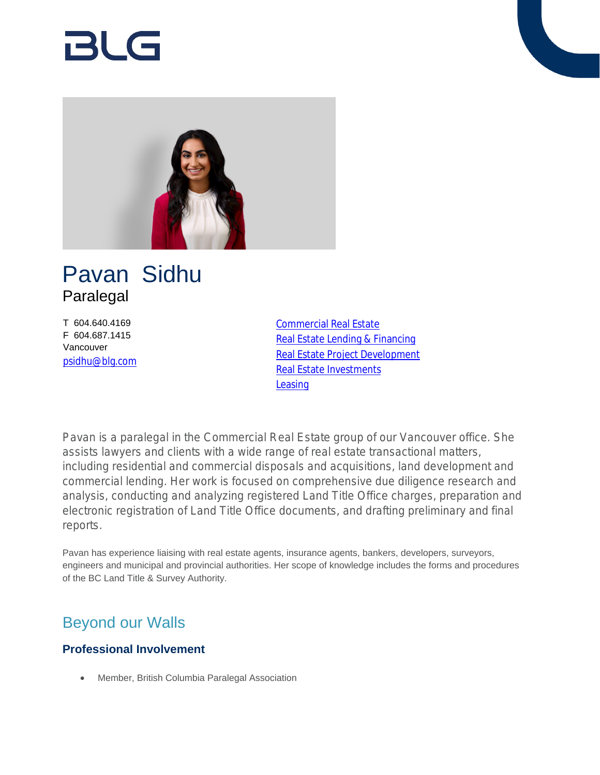# Rl G



## Pavan Sidhu Paralegal

T 604.640.4169 F 604.687.1415 Vancouver [psidhu@blg.com](mailto:psidhu@blg.com) [Commercial Real Estate](https://www.blg.com/en/services/practice-areas/commercial-real-estate) [Real Estate Lending & Financing](https://www.blg.com/en/services/practice-areas/commercial-real-estate/real-estate-lending-financing) [Real Estate Project Development](https://www.blg.com/en/services/practice-areas/commercial-real-estate/real-estate-project-development) [Real Estate Investments](https://www.blg.com/en/services/practice-areas/commercial-real-estate/real-estate-investments) [Leasing](https://www.blg.com/en/services/practice-areas/commercial-real-estate/leasing)

Pavan is a paralegal in the Commercial Real Estate group of our Vancouver office. She assists lawyers and clients with a wide range of real estate transactional matters, including residential and commercial disposals and acquisitions, land development and commercial lending. Her work is focused on comprehensive due diligence research and analysis, conducting and analyzing registered Land Title Office charges, preparation and electronic registration of Land Title Office documents, and drafting preliminary and final reports.

Pavan has experience liaising with real estate agents, insurance agents, bankers, developers, surveyors, engineers and municipal and provincial authorities. Her scope of knowledge includes the forms and procedures of the BC Land Title & Survey Authority.

## Beyond our Walls

### **Professional Involvement**

Member, British Columbia Paralegal Association